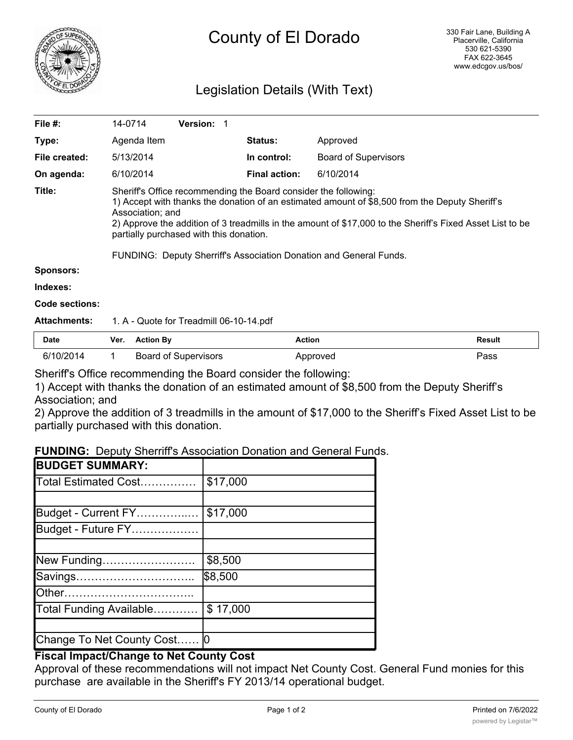

# County of El Dorado

# Legislation Details (With Text)

| File #:             | 14-0714                                                                                                                                                                                                                                                                                                                                                                                                             | <b>Version: 1</b> |                      |                             |  |
|---------------------|---------------------------------------------------------------------------------------------------------------------------------------------------------------------------------------------------------------------------------------------------------------------------------------------------------------------------------------------------------------------------------------------------------------------|-------------------|----------------------|-----------------------------|--|
| Type:               | Agenda Item                                                                                                                                                                                                                                                                                                                                                                                                         |                   | <b>Status:</b>       | Approved                    |  |
| File created:       | 5/13/2014                                                                                                                                                                                                                                                                                                                                                                                                           |                   | In control:          | <b>Board of Supervisors</b> |  |
| On agenda:          | 6/10/2014                                                                                                                                                                                                                                                                                                                                                                                                           |                   | <b>Final action:</b> | 6/10/2014                   |  |
| Title:              | Sheriff's Office recommending the Board consider the following:<br>1) Accept with thanks the donation of an estimated amount of \$8,500 from the Deputy Sheriff's<br>Association; and<br>2) Approve the addition of 3 treadmills in the amount of \$17,000 to the Sheriff's Fixed Asset List to be<br>partially purchased with this donation.<br>FUNDING: Deputy Sherriff's Association Donation and General Funds. |                   |                      |                             |  |
| <b>Sponsors:</b>    |                                                                                                                                                                                                                                                                                                                                                                                                                     |                   |                      |                             |  |
| Indexes:            |                                                                                                                                                                                                                                                                                                                                                                                                                     |                   |                      |                             |  |
| Code sections:      |                                                                                                                                                                                                                                                                                                                                                                                                                     |                   |                      |                             |  |
| <b>Attachments:</b> | 1. A - Quote for Treadmill 06-10-14.pdf                                                                                                                                                                                                                                                                                                                                                                             |                   |                      |                             |  |

| <b>Date</b> | Ver. Action By              | <b>Action</b> | Result |
|-------------|-----------------------------|---------------|--------|
| 6/10/2014   | <b>Board of Supervisors</b> | Approved      | Pass   |

Sheriff's Office recommending the Board consider the following:

1) Accept with thanks the donation of an estimated amount of \$8,500 from the Deputy Sheriff's Association; and

2) Approve the addition of 3 treadmills in the amount of \$17,000 to the Sheriff's Fixed Asset List to be partially purchased with this donation.

#### **FUNDING:** Deputy Sherriff's Association Donation and General Funds.

| <b>BUDGET SUMMARY:</b>      |          |
|-----------------------------|----------|
| Total Estimated Cost        | \$17,000 |
|                             |          |
| Budget - Current FY         | \$17,000 |
| Budget - Future FY          |          |
|                             |          |
| New Funding                 | \$8,500  |
| Savings                     | \$8,500  |
| lOther………………………………          |          |
| Total Funding Available     | \$17,000 |
|                             |          |
| Change To Net County Cost 0 |          |

## **Fiscal Impact/Change to Net County Cost**

Approval of these recommendations will not impact Net County Cost. General Fund monies for this purchase are available in the Sheriff's FY 2013/14 operational budget.